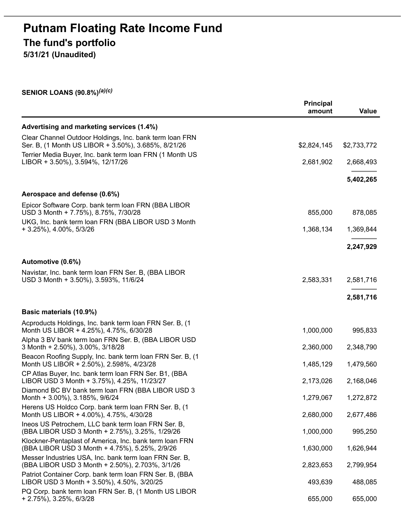# **Putnam Floating Rate Income Fund The fund's portfolio**

**5/31/21 (Unaudited)**

**SENIOR LOANS (90.8%)** *(a)(c)*

|                                                                                                                | <b>Principal</b><br>amount | Value       |
|----------------------------------------------------------------------------------------------------------------|----------------------------|-------------|
| Advertising and marketing services (1.4%)                                                                      |                            |             |
| Clear Channel Outdoor Holdings, Inc. bank term loan FRN<br>Ser. B, (1 Month US LIBOR + 3.50%), 3.685%, 8/21/26 | \$2,824,145                | \$2,733,772 |
| Terrier Media Buyer, Inc. bank term Ioan FRN (1 Month US<br>LIBOR + 3.50%), 3.594%, 12/17/26                   | 2,681,902                  | 2,668,493   |
|                                                                                                                |                            | 5,402,265   |
| Aerospace and defense (0.6%)                                                                                   |                            |             |
| Epicor Software Corp. bank term loan FRN (BBA LIBOR<br>USD 3 Month + 7.75%), 8.75%, 7/30/28                    | 855,000                    | 878,085     |
| UKG, Inc. bank term loan FRN (BBA LIBOR USD 3 Month<br>+ 3.25%), 4.00%, 5/3/26                                 | 1,368,134                  | 1,369,844   |
|                                                                                                                |                            | 2,247,929   |
| Automotive (0.6%)                                                                                              |                            |             |
| Navistar, Inc. bank term loan FRN Ser. B, (BBA LIBOR<br>USD 3 Month + 3.50%), 3.593%, 11/6/24                  | 2,583,331                  | 2,581,716   |
|                                                                                                                |                            | 2,581,716   |
| Basic materials (10.9%)                                                                                        |                            |             |
| Acproducts Holdings, Inc. bank term Ioan FRN Ser. B, (1)<br>Month US LIBOR + 4.25%), 4.75%, 6/30/28            | 1,000,000                  | 995,833     |
| Alpha 3 BV bank term loan FRN Ser. B, (BBA LIBOR USD<br>3 Month + 2.50%), 3.00%, 3/18/28                       | 2,360,000                  | 2,348,790   |
| Beacon Roofing Supply, Inc. bank term loan FRN Ser. B, (1<br>Month US LIBOR + 2.50%), 2.598%, 4/23/28          | 1,485,129                  | 1,479,560   |
| CP Atlas Buyer, Inc. bank term loan FRN Ser. B1, (BBA<br>LIBOR USD 3 Month + 3.75%), 4.25%, 11/23/27           | 2,173,026                  | 2,168,046   |
| Diamond BC BV bank term loan FRN (BBA LIBOR USD 3<br>Month + 3.00%), 3.185%, 9/6/24                            | 1,279,067                  | 1,272,872   |
| Herens US Holdco Corp. bank term loan FRN Ser. B, (1                                                           |                            |             |
| Month US LIBOR + 4.00%), 4.75%, 4/30/28<br>Ineos US Petrochem, LLC bank term Ioan FRN Ser. B,                  | 2,680,000                  | 2,677,486   |
| (BBA LIBOR USD 3 Month + 2.75%), 3.25%, 1/29/26                                                                | 1,000,000                  | 995,250     |
| Klockner-Pentaplast of America, Inc. bank term Ioan FRN<br>(BBA LIBOR USD 3 Month + 4.75%), 5.25%, 2/9/26      | 1,630,000                  | 1,626,944   |
| Messer Industries USA, Inc. bank term Ioan FRN Ser. B,<br>(BBA LIBOR USD 3 Month + 2.50%), 2.703%, 3/1/26      | 2,823,653                  | 2,799,954   |
| Patriot Container Corp. bank term loan FRN Ser. B, (BBA<br>LIBOR USD 3 Month + 3.50%), 4.50%, 3/20/25          | 493,639                    | 488,085     |
| PQ Corp. bank term loan FRN Ser. B, (1 Month US LIBOR<br>+ 2.75%), 3.25%, 6/3/28                               | 655,000                    | 655,000     |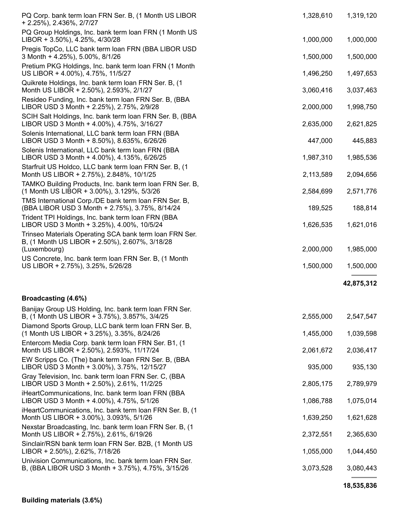| PQ Corp. bank term loan FRN Ser. B, (1 Month US LIBOR<br>+ 2.25%), 2.436%, 2/7/27                                         | 1,328,610 | 1,319,120  |
|---------------------------------------------------------------------------------------------------------------------------|-----------|------------|
| PQ Group Holdings, Inc. bank term loan FRN (1 Month US<br>LIBOR + 3.50%), 4.25%, 4/30/28                                  | 1,000,000 | 1,000,000  |
| Pregis TopCo, LLC bank term loan FRN (BBA LIBOR USD<br>3 Month + 4.25%), 5.00%, 8/1/26                                    | 1,500,000 | 1,500,000  |
| Pretium PKG Holdings, Inc. bank term Ioan FRN (1 Month<br>US LIBOR + 4.00%), 4.75%, 11/5/27                               | 1,496,250 | 1,497,653  |
| Quikrete Holdings, Inc. bank term loan FRN Ser. B, (1<br>Month US LIBOR + 2.50%), 2.593%, 2/1/27                          | 3,060,416 | 3,037,463  |
| Resideo Funding, Inc. bank term Ioan FRN Ser. B, (BBA<br>LIBOR USD 3 Month + 2.25%), 2.75%, 2/9/28                        | 2,000,000 | 1,998,750  |
| SCIH Salt Holdings, Inc. bank term loan FRN Ser. B, (BBA<br>LIBOR USD 3 Month + 4.00%), 4.75%, 3/16/27                    | 2,635,000 | 2,621,825  |
| Solenis International, LLC bank term Ioan FRN (BBA<br>LIBOR USD 3 Month + 8.50%), 8.635%, 6/26/26                         | 447,000   | 445,883    |
| Solenis International, LLC bank term loan FRN (BBA<br>LIBOR USD 3 Month + 4.00%), 4.135%, 6/26/25                         | 1,987,310 | 1,985,536  |
| Starfruit US Holdco, LLC bank term loan FRN Ser. B, (1)<br>Month US LIBOR + 2.75%), 2.848%, 10/1/25                       | 2,113,589 | 2,094,656  |
| TAMKO Building Products, Inc. bank term loan FRN Ser. B,<br>(1 Month US LIBOR + 3.00%), 3.129%, 5/3/26                    | 2,584,699 | 2,571,776  |
| TMS International Corp./DE bank term loan FRN Ser. B,<br>(BBA LIBOR USD 3 Month + 2.75%), 3.75%, 8/14/24                  | 189,525   | 188,814    |
| Trident TPI Holdings, Inc. bank term Ioan FRN (BBA<br>LIBOR USD 3 Month + 3.25%), 4.00%, 10/5/24                          | 1,626,535 | 1,621,016  |
| Trinseo Materials Operating SCA bank term loan FRN Ser.<br>B, (1 Month US LIBOR + 2.50%), 2.607%, 3/18/28<br>(Luxembourg) | 2,000,000 | 1,985,000  |
| US Concrete, Inc. bank term Ioan FRN Ser. B, (1 Month<br>US LIBOR + 2.75%), 3.25%, 5/26/28                                | 1,500,000 | 1,500,000  |
|                                                                                                                           |           | 42,875,312 |
| Broadcasting (4.6%)                                                                                                       |           |            |
| Banijay Group US Holding, Inc. bank term loan FRN Ser.<br>B, (1 Month US LIBOR + 3.75%), 3.857%, 3/4/25                   | 2,555,000 | 2,547,547  |
| Diamond Sports Group, LLC bank term loan FRN Ser. B,<br>(1 Month US LIBOR + 3.25%), 3.35%, 8/24/26                        | 1,455,000 | 1,039,598  |
| Entercom Media Corp. bank term Ioan FRN Ser. B1, (1)<br>Month US LIBOR + 2.50%), 2.593%, 11/17/24                         | 2,061,672 | 2,036,417  |
| EW Scripps Co. (The) bank term loan FRN Ser. B, (BBA<br>LIBOR USD 3 Month + 3.00%), 3.75%, 12/15/27                       | 935,000   | 935,130    |
| Gray Television, Inc. bank term loan FRN Ser. C, (BBA<br>LIBOR USD 3 Month + 2.50%), 2.61%, 11/2/25                       | 2,805,175 | 2,789,979  |
| iHeartCommunications, Inc. bank term loan FRN (BBA<br>LIBOR USD 3 Month + 4.00%), 4.75%, 5/1/26                           | 1,086,788 | 1,075,014  |
| iHeartCommunications, Inc. bank term Ioan FRN Ser. B, (1)<br>Month US LIBOR + 3.00%), 3.093%, 5/1/26                      | 1,639,250 | 1,621,628  |
| Nexstar Broadcasting, Inc. bank term loan FRN Ser. B, (1)<br>Month US LIBOR + 2.75%), 2.61%, 6/19/26                      | 2,372,551 | 2,365,630  |
| Sinclair/RSN bank term loan FRN Ser. B2B, (1 Month US<br>LIBOR + 2.50%), 2.62%, 7/18/26                                   | 1,055,000 | 1,044,450  |
| Univision Communications, Inc. bank term loan FRN Ser.<br>B, (BBA LIBOR USD 3 Month + 3.75%), 4.75%, 3/15/26              | 3,073,528 | 3,080,443  |
|                                                                                                                           |           | 18,535,836 |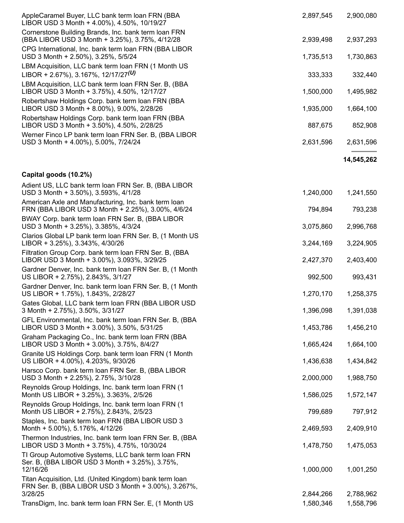| AppleCaramel Buyer, LLC bank term loan FRN (BBA<br>LIBOR USD 3 Month + 4.00%), 4.50%, 10/19/27                             | 2,897,545 | 2,900,080  |
|----------------------------------------------------------------------------------------------------------------------------|-----------|------------|
| Cornerstone Building Brands, Inc. bank term Ioan FRN<br>(BBA LIBOR USD 3 Month + 3.25%), 3.75%, 4/12/28                    | 2,939,498 | 2,937,293  |
| CPG International, Inc. bank term loan FRN (BBA LIBOR<br>USD 3 Month + 2.50%), 3.25%, 5/5/24                               | 1,735,513 | 1,730,863  |
| LBM Acquisition, LLC bank term loan FRN (1 Month US<br>LIBOR + 2.67%), 3.167%, 12/17/27(U)                                 | 333,333   | 332,440    |
| LBM Acquisition, LLC bank term loan FRN Ser. B, (BBA<br>LIBOR USD 3 Month + 3.75%), 4.50%, 12/17/27                        | 1,500,000 | 1,495,982  |
| Robertshaw Holdings Corp. bank term loan FRN (BBA<br>LIBOR USD 3 Month + 8.00%), 9.00%, 2/28/26                            | 1,935,000 | 1,664,100  |
| Robertshaw Holdings Corp. bank term loan FRN (BBA<br>LIBOR USD 3 Month + 3.50%), 4.50%, 2/28/25                            | 887,675   | 852,908    |
| Werner Finco LP bank term loan FRN Ser. B, (BBA LIBOR<br>USD 3 Month + 4.00%), 5.00%, 7/24/24                              | 2,631,596 | 2,631,596  |
|                                                                                                                            |           | 14,545,262 |
| Capital goods (10.2%)                                                                                                      |           |            |
| Adient US, LLC bank term loan FRN Ser. B, (BBA LIBOR<br>USD 3 Month + 3.50%), 3.593%, 4/1/28                               | 1,240,000 | 1,241,550  |
| American Axle and Manufacturing, Inc. bank term loan<br>FRN (BBA LIBOR USD 3 Month + 2.25%), 3.00%, 4/6/24                 | 794,894   | 793,238    |
| BWAY Corp. bank term loan FRN Ser. B, (BBA LIBOR<br>USD 3 Month + 3.25%), 3.385%, 4/3/24                                   | 3,075,860 | 2,996,768  |
| Clarios Global LP bank term loan FRN Ser. B, (1 Month US<br>LIBOR + 3.25%), 3.343%, 4/30/26                                | 3,244,169 | 3,224,905  |
| Filtration Group Corp. bank term loan FRN Ser. B, (BBA<br>LIBOR USD 3 Month + 3.00%), 3.093%, 3/29/25                      | 2,427,370 | 2,403,400  |
| Gardner Denver, Inc. bank term Ioan FRN Ser. B, (1 Month<br>US LIBOR + 2.75%), 2.843%, 3/1/27                              | 992,500   | 993,431    |
| Gardner Denver, Inc. bank term Ioan FRN Ser. B, (1 Month<br>US LIBOR + 1.75%), 1.843%, 2/28/27                             | 1,270,170 | 1,258,375  |
| Gates Global, LLC bank term loan FRN (BBA LIBOR USD<br>3 Month + 2.75%), 3.50%, 3/31/27                                    | 1,396,098 | 1,391,038  |
| GFL Environmental, Inc. bank term Ioan FRN Ser. B, (BBA<br>LIBOR USD 3 Month + 3.00%), 3.50%, 5/31/25                      | 1,453,786 | 1,456,210  |
| Graham Packaging Co., Inc. bank term loan FRN (BBA<br>LIBOR USD 3 Month + 3.00%), 3.75%, 8/4/27                            | 1,665,424 | 1,664,100  |
| Granite US Holdings Corp. bank term loan FRN (1 Month<br>US LIBOR + 4.00%), 4.203%, 9/30/26                                | 1,436,638 | 1,434,842  |
| Harsco Corp. bank term loan FRN Ser. B, (BBA LIBOR<br>USD 3 Month + 2.25%), 2.75%, 3/10/28                                 | 2,000,000 | 1,988,750  |
| Reynolds Group Holdings, Inc. bank term loan FRN (1)<br>Month US LIBOR + 3.25%), 3.363%, 2/5/26                            | 1,586,025 | 1,572,147  |
| Reynolds Group Holdings, Inc. bank term loan FRN (1<br>Month US LIBOR + 2.75%), 2.843%, 2/5/23                             | 799,689   | 797,912    |
| Staples, Inc. bank term loan FRN (BBA LIBOR USD 3<br>Month + 5.00%), 5.176%, 4/12/26                                       | 2,469,593 | 2,409,910  |
| Thermon Industries, Inc. bank term loan FRN Ser. B, (BBA<br>LIBOR USD 3 Month + 3.75%), 4.75%, 10/30/24                    | 1,478,750 | 1,475,053  |
| TI Group Automotive Systems, LLC bank term loan FRN<br>Ser. B, (BBA LIBOR USD 3 Month + 3.25%), 3.75%,<br>12/16/26         | 1,000,000 | 1,001,250  |
| Titan Acquisition, Ltd. (United Kingdom) bank term loan<br>FRN Ser. B, (BBA LIBOR USD 3 Month + 3.00%), 3.267%,<br>3/28/25 | 2,844,266 | 2,788,962  |
| TransDigm, Inc. bank term loan FRN Ser. E, (1 Month US                                                                     | 1,580,346 | 1,558,796  |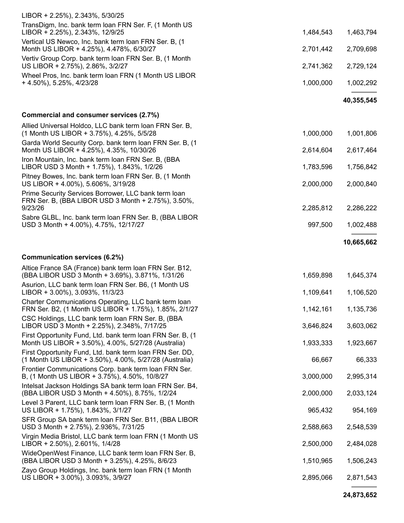| LIBOR + 2.25%), 2.343%, 5/30/25                                                                                    |           |            |
|--------------------------------------------------------------------------------------------------------------------|-----------|------------|
| TransDigm, Inc. bank term loan FRN Ser. F, (1 Month US<br>LIBOR + 2.25%), 2.343%, 12/9/25                          | 1,484,543 | 1,463,794  |
| Vertical US Newco, Inc. bank term Ioan FRN Ser. B, (1)<br>Month US LIBOR + 4.25%), 4.478%, 6/30/27                 | 2,701,442 | 2,709,698  |
| Vertiv Group Corp. bank term Ioan FRN Ser. B, (1 Month<br>US LIBOR + 2.75%), 2.86%, 3/2/27                         | 2,741,362 | 2,729,124  |
| Wheel Pros, Inc. bank term loan FRN (1 Month US LIBOR<br>+ 4.50%), 5.25%, 4/23/28                                  | 1,000,000 | 1,002,292  |
|                                                                                                                    |           | 40,355,545 |
| Commercial and consumer services (2.7%)                                                                            |           |            |
| Allied Universal Holdco, LLC bank term loan FRN Ser. B,                                                            |           |            |
| (1 Month US LIBOR + 3.75%), 4.25%, 5/5/28                                                                          | 1,000,000 | 1,001,806  |
| Garda World Security Corp. bank term loan FRN Ser. B, (1)<br>Month US LIBOR + 4.25%), 4.35%, 10/30/26              | 2,614,604 | 2,617,464  |
| Iron Mountain, Inc. bank term Ioan FRN Ser. B, (BBA<br>LIBOR USD 3 Month + 1.75%), 1.843%, 1/2/26                  | 1,783,596 | 1,756,842  |
| Pitney Bowes, Inc. bank term Ioan FRN Ser. B, (1 Month<br>US LIBOR + 4.00%), 5.606%, 3/19/28                       | 2,000,000 | 2,000,840  |
| Prime Security Services Borrower, LLC bank term loan<br>FRN Ser. B, (BBA LIBOR USD 3 Month + 2.75%), 3.50%,        |           |            |
| 9/23/26                                                                                                            | 2,285,812 | 2,286,222  |
| Sabre GLBL, Inc. bank term loan FRN Ser. B, (BBA LIBOR<br>USD 3 Month + 4.00%), 4.75%, 12/17/27                    | 997,500   | 1,002,488  |
|                                                                                                                    |           | 10,665,662 |
| Communication services (6.2%)                                                                                      |           |            |
| Altice France SA (France) bank term loan FRN Ser. B12,                                                             |           |            |
| (BBA LIBOR USD 3 Month + 3.69%), 3.871%, 1/31/26                                                                   | 1,659,898 | 1,645,374  |
| Asurion, LLC bank term loan FRN Ser. B6, (1 Month US<br>LIBOR + 3.00%), 3.093%, 11/3/23                            | 1,109,641 | 1,106,520  |
| Charter Communications Operating, LLC bank term loan                                                               |           |            |
| FRN Ser. B2, (1 Month US LIBOR + 1.75%), 1.85%, 2/1/27                                                             | 1,142,161 | 1,135,736  |
| CSC Holdings, LLC bank term loan FRN Ser. B, (BBA<br>LIBOR USD 3 Month + 2.25%), 2.348%, 7/17/25                   | 3,646,824 | 3,603,062  |
| First Opportunity Fund, Ltd. bank term Ioan FRN Ser. B, (1)<br>Month US LIBOR + 3.50%), 4.00%, 5/27/28 (Australia) | 1,933,333 | 1,923,667  |
| First Opportunity Fund, Ltd. bank term loan FRN Ser. DD,<br>(1 Month US LIBOR + 3.50%), 4.00%, 5/27/28 (Australia) | 66,667    | 66,333     |
| Frontier Communications Corp. bank term loan FRN Ser.<br>B, (1 Month US LIBOR + 3.75%), 4.50%, 10/8/27             | 3,000,000 | 2,995,314  |
| Intelsat Jackson Holdings SA bank term Ioan FRN Ser. B4,<br>(BBA LIBOR USD 3 Month + 4.50%), 8.75%, 1/2/24         | 2,000,000 | 2,033,124  |
| Level 3 Parent, LLC bank term Ioan FRN Ser. B, (1 Month<br>US LIBOR + 1.75%), 1.843%, 3/1/27                       | 965,432   | 954,169    |
| SFR Group SA bank term loan FRN Ser. B11, (BBA LIBOR<br>USD 3 Month + 2.75%), 2.936%, 7/31/25                      | 2,588,663 | 2,548,539  |
| Virgin Media Bristol, LLC bank term Ioan FRN (1 Month US<br>LIBOR + 2.50%), 2.601%, 1/4/28                         | 2,500,000 | 2,484,028  |
| WideOpenWest Finance, LLC bank term loan FRN Ser. B,<br>(BBA LIBOR USD 3 Month + 3.25%), 4.25%, 8/6/23             | 1,510,965 | 1,506,243  |
| Zayo Group Holdings, Inc. bank term loan FRN (1 Month<br>US LIBOR + 3.00%), 3.093%, 3/9/27                         | 2,895,066 | 2,871,543  |
|                                                                                                                    |           |            |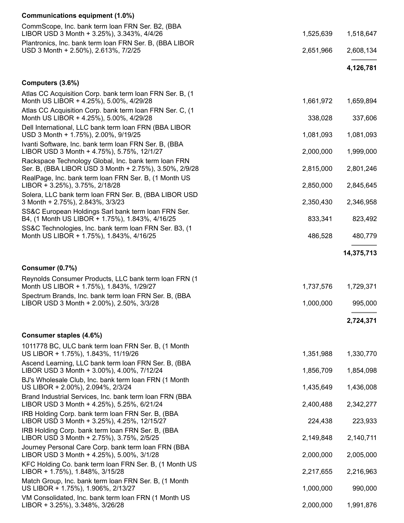#### Communications equipment (1.0%)

| CommScope, Inc. bank term loan FRN Ser. B2, (BBA                                                                                                    |           |            |
|-----------------------------------------------------------------------------------------------------------------------------------------------------|-----------|------------|
| LIBOR USD 3 Month + 3.25%), 3.343%, 4/4/26<br>Plantronics, Inc. bank term loan FRN Ser. B, (BBA LIBOR                                               | 1,525,639 | 1,518,647  |
| USD 3 Month + 2.50%), 2.613%, 7/2/25                                                                                                                | 2,651,966 | 2,608,134  |
|                                                                                                                                                     |           | 4,126,781  |
| Computers (3.6%)                                                                                                                                    |           |            |
| Atlas CC Acquisition Corp. bank term loan FRN Ser. B, (1)<br>Month US LIBOR + 4.25%), 5.00%, 4/29/28                                                | 1,661,972 | 1,659,894  |
| Atlas CC Acquisition Corp. bank term loan FRN Ser. C, (1<br>Month US LIBOR + 4.25%), 5.00%, 4/29/28                                                 | 338,028   | 337,606    |
| Dell International, LLC bank term Ioan FRN (BBA LIBOR<br>USD 3 Month + 1.75%), 2.00%, 9/19/25                                                       | 1,081,093 | 1,081,093  |
| Ivanti Software, Inc. bank term Ioan FRN Ser. B, (BBA<br>LIBOR USD 3 Month + 4.75%), 5.75%, 12/1/27                                                 | 2,000,000 | 1,999,000  |
| Rackspace Technology Global, Inc. bank term loan FRN<br>Ser. B, (BBA LIBOR USD 3 Month + 2.75%), 3.50%, 2/9/28                                      | 2,815,000 | 2,801,246  |
| RealPage, Inc. bank term loan FRN Ser. B, (1 Month US<br>LIBOR + 3.25%), 3.75%, 2/18/28                                                             | 2,850,000 | 2,845,645  |
| Solera, LLC bank term loan FRN Ser. B, (BBA LIBOR USD<br>3 Month + 2.75%), 2.843%, 3/3/23                                                           | 2,350,430 | 2,346,958  |
| SS&C European Holdings Sarl bank term loan FRN Ser.<br>B4, (1 Month US LIBOR + 1.75%), 1.843%, 4/16/25                                              | 833,341   | 823,492    |
| SS&C Technologies, Inc. bank term loan FRN Ser. B3, (1<br>Month US LIBOR + 1.75%), 1.843%, 4/16/25                                                  | 486,528   | 480,779    |
|                                                                                                                                                     |           | 14,375,713 |
|                                                                                                                                                     |           |            |
|                                                                                                                                                     |           |            |
| Consumer (0.7%)<br>Reynolds Consumer Products, LLC bank term Ioan FRN (1)                                                                           |           |            |
| Month US LIBOR + 1.75%), 1.843%, 1/29/27                                                                                                            | 1,737,576 | 1,729,371  |
| Spectrum Brands, Inc. bank term Ioan FRN Ser. B, (BBA<br>LIBOR USD 3 Month + 2.00%), 2.50%, 3/3/28                                                  | 1,000,000 | 995,000    |
|                                                                                                                                                     |           | 2,724,371  |
| Consumer staples (4.6%)                                                                                                                             |           |            |
| 1011778 BC, ULC bank term loan FRN Ser. B, (1 Month<br>US LIBOR + 1.75%), 1.843%, 11/19/26                                                          | 1,351,988 | 1,330,770  |
| Ascend Learning, LLC bank term loan FRN Ser. B, (BBA<br>LIBOR USD 3 Month + 3.00%), 4.00%, 7/12/24                                                  | 1,856,709 | 1,854,098  |
| BJ's Wholesale Club, Inc. bank term Ioan FRN (1 Month<br>US LIBOR + 2.00%), 2.094%, 2/3/24                                                          | 1,435,649 | 1,436,008  |
| Brand Industrial Services, Inc. bank term Ioan FRN (BBA<br>LIBOR USD 3 Month + 4.25%), 5.25%, 6/21/24                                               | 2,400,488 | 2,342,277  |
| IRB Holding Corp. bank term loan FRN Ser. B, (BBA<br>LIBOR USD 3 Month + 3.25%), 4.25%, 12/15/27                                                    | 224,438   | 223,933    |
| IRB Holding Corp. bank term loan FRN Ser. B, (BBA<br>LIBOR USD 3 Month + 2.75%), 3.75%, 2/5/25                                                      | 2,149,848 | 2,140,711  |
| Journey Personal Care Corp. bank term loan FRN (BBA<br>LIBOR USD 3 Month + 4.25%), 5.00%, 3/1/28                                                    | 2,000,000 | 2,005,000  |
| KFC Holding Co. bank term loan FRN Ser. B, (1 Month US<br>LIBOR + 1.75%), 1.848%, 3/15/28                                                           | 2,217,655 | 2,216,963  |
| Match Group, Inc. bank term loan FRN Ser. B, (1 Month<br>US LIBOR + 1.75%), 1.906%, 2/13/27<br>VM Consolidated, Inc. bank term loan FRN (1 Month US | 1,000,000 | 990,000    |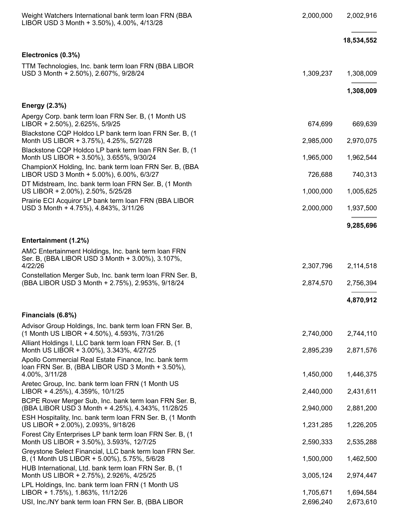| Weight Watchers International bank term Ioan FRN (BBA<br>LIBOR USD 3 Month + 3.50%), 4.00%, 4/13/28                          | 2,000,000 | 2,002,916  |
|------------------------------------------------------------------------------------------------------------------------------|-----------|------------|
|                                                                                                                              |           | 18,534,552 |
| Electronics (0.3%)                                                                                                           |           |            |
| TTM Technologies, Inc. bank term Ioan FRN (BBA LIBOR<br>USD 3 Month + 2.50%), 2.607%, 9/28/24                                | 1,309,237 | 1,308,009  |
|                                                                                                                              |           | 1,308,009  |
| <b>Energy (2.3%)</b>                                                                                                         |           |            |
| Apergy Corp. bank term Ioan FRN Ser. B, (1 Month US<br>LIBOR + 2.50%), 2.625%, 5/9/25                                        | 674,699   | 669,639    |
| Blackstone CQP Holdco LP bank term loan FRN Ser. B, (1<br>Month US LIBOR + 3.75%), 4.25%, 5/27/28                            | 2,985,000 | 2,970,075  |
| Blackstone CQP Holdco LP bank term loan FRN Ser. B, (1)<br>Month US LIBOR + 3.50%), 3.655%, 9/30/24                          | 1,965,000 | 1,962,544  |
| ChampionX Holding, Inc. bank term loan FRN Ser. B, (BBA<br>LIBOR USD 3 Month + 5.00%), 6.00%, 6/3/27                         | 726,688   | 740,313    |
| DT Midstream, Inc. bank term loan FRN Ser. B, (1 Month<br>US LIBOR + 2.00%), 2.50%, 5/25/28                                  | 1,000,000 | 1,005,625  |
| Prairie ECI Acquiror LP bank term Ioan FRN (BBA LIBOR<br>USD 3 Month + 4.75%), 4.843%, 3/11/26                               | 2,000,000 | 1,937,500  |
|                                                                                                                              |           | 9,285,696  |
| Entertainment (1.2%)                                                                                                         |           |            |
| AMC Entertainment Holdings, Inc. bank term loan FRN<br>Ser. B, (BBA LIBOR USD 3 Month + 3.00%), 3.107%,                      |           |            |
| 4/22/26<br>Constellation Merger Sub, Inc. bank term loan FRN Ser. B,                                                         | 2,307,796 | 2,114,518  |
| (BBA LIBOR USD 3 Month + 2.75%), 2.953%, 9/18/24                                                                             | 2,874,570 | 2,756,394  |
|                                                                                                                              |           | 4,870,912  |
| Financials (6.8%)                                                                                                            |           |            |
| Advisor Group Holdings, Inc. bank term Ioan FRN Ser. B,<br>(1 Month US LIBOR + 4.50%), 4.593%, 7/31/26                       | 2,740,000 | 2,744,110  |
| Alliant Holdings I, LLC bank term loan FRN Ser. B, (1)<br>Month US LIBOR + 3.00%), 3.343%, 4/27/25                           | 2,895,239 | 2,871,576  |
| Apollo Commercial Real Estate Finance, Inc. bank term<br>loan FRN Ser. B, (BBA LIBOR USD 3 Month + 3.50%),<br>4.00%, 3/11/28 | 1,450,000 | 1,446,375  |
| Aretec Group, Inc. bank term Ioan FRN (1 Month US<br>LIBOR + 4.25%), 4.359%, 10/1/25                                         | 2,440,000 | 2,431,611  |
| BCPE Rover Merger Sub, Inc. bank term loan FRN Ser. B,<br>(BBA LIBOR USD 3 Month + 4.25%), 4.343%, 11/28/25                  | 2,940,000 | 2,881,200  |
| ESH Hospitality, Inc. bank term Ioan FRN Ser. B, (1 Month<br>US LIBOR + 2.00%), 2.093%, 9/18/26                              | 1,231,285 | 1,226,205  |
| Forest City Enterprises LP bank term loan FRN Ser. B, (1)<br>Month US LIBOR + 3.50%), 3.593%, 12/7/25                        | 2,590,333 | 2,535,288  |
| Greystone Select Financial, LLC bank term loan FRN Ser.<br>B, (1 Month US LIBOR + 5.00%), 5.75%, 5/6/28                      | 1,500,000 | 1,462,500  |
| HUB International, Ltd. bank term Ioan FRN Ser. B, (1)<br>Month US LIBOR + 2.75%), 2.926%, 4/25/25                           | 3,005,124 | 2,974,447  |
| LPL Holdings, Inc. bank term loan FRN (1 Month US<br>LIBOR + 1.75%), 1.863%, 11/12/26                                        | 1,705,671 | 1,694,584  |
| USI, Inc./NY bank term loan FRN Ser. B, (BBA LIBOR                                                                           | 2,696,240 | 2,673,610  |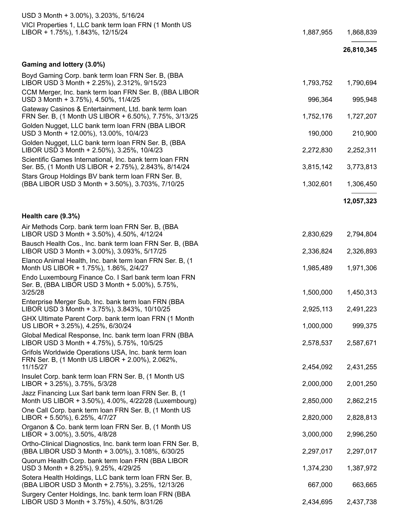| USD 3 Month + 3.00%), 3.203%, 5/16/24                                                                                |           |            |
|----------------------------------------------------------------------------------------------------------------------|-----------|------------|
| VICI Properties 1, LLC bank term loan FRN (1 Month US<br>LIBOR + 1.75%), 1.843%, 12/15/24                            | 1,887,955 | 1,868,839  |
|                                                                                                                      |           | 26,810,345 |
| Gaming and lottery (3.0%)                                                                                            |           |            |
| Boyd Gaming Corp. bank term loan FRN Ser. B, (BBA<br>LIBOR USD 3 Month + 2.25%), 2.312%, 9/15/23                     | 1,793,752 | 1,790,694  |
| CCM Merger, Inc. bank term loan FRN Ser. B, (BBA LIBOR<br>USD 3 Month + 3.75%), 4.50%, 11/4/25                       | 996,364   | 995,948    |
| Gateway Casinos & Entertainment, Ltd. bank term Ioan<br>FRN Ser. B, (1 Month US LIBOR + 6.50%), 7.75%, 3/13/25       | 1,752,176 | 1,727,207  |
| Golden Nugget, LLC bank term loan FRN (BBA LIBOR<br>USD 3 Month + 12.00%), 13.00%, 10/4/23                           | 190,000   | 210,900    |
| Golden Nugget, LLC bank term loan FRN Ser. B, (BBA<br>LIBOR USD 3 Month + 2.50%), 3.25%, 10/4/23                     | 2,272,830 | 2,252,311  |
| Scientific Games International, Inc. bank term loan FRN<br>Ser. B5, (1 Month US LIBOR + 2.75%), 2.843%, 8/14/24      | 3,815,142 | 3,773,813  |
| Stars Group Holdings BV bank term loan FRN Ser. B,<br>(BBA LIBOR USD 3 Month + 3.50%), 3.703%, 7/10/25               | 1,302,601 | 1,306,450  |
|                                                                                                                      |           | 12,057,323 |
| Health care (9.3%)                                                                                                   |           |            |
| Air Methods Corp. bank term loan FRN Ser. B, (BBA<br>LIBOR USD 3 Month + 3.50%), 4.50%, 4/12/24                      | 2,830,629 | 2,794,804  |
| Bausch Health Cos., Inc. bank term Ioan FRN Ser. B, (BBA<br>LIBOR USD 3 Month + 3.00%), 3.093%, 5/17/25              | 2,336,824 | 2,326,893  |
| Elanco Animal Health, Inc. bank term Ioan FRN Ser. B, (1)<br>Month US LIBOR + 1.75%), 1.86%, 2/4/27                  | 1,985,489 | 1,971,306  |
| Endo Luxembourg Finance Co. I Sarl bank term Ioan FRN<br>Ser. B, (BBA LIBOR USD 3 Month + 5.00%), 5.75%,<br>3/25/28  | 1,500,000 | 1,450,313  |
| Enterprise Merger Sub, Inc. bank term loan FRN (BBA<br>LIBOR USD 3 Month + 3.75%), 3.843%, 10/10/25                  | 2,925,113 | 2,491,223  |
| GHX Ultimate Parent Corp. bank term Ioan FRN (1 Month<br>US LIBOR + 3.25%), 4.25%, 6/30/24                           | 1,000,000 | 999,375    |
| Global Medical Response, Inc. bank term Ioan FRN (BBA<br>LIBOR USD 3 Month + 4.75%), 5.75%, 10/5/25                  | 2,578,537 | 2,587,671  |
| Grifols Worldwide Operations USA, Inc. bank term loan<br>FRN Ser. B, (1 Month US LIBOR + 2.00%), 2.062%,<br>11/15/27 | 2,454,092 | 2,431,255  |
| Insulet Corp. bank term Ioan FRN Ser. B, (1 Month US<br>LIBOR + 3.25%), 3.75%, 5/3/28                                | 2,000,000 | 2,001,250  |
| Jazz Financing Lux Sarl bank term Ioan FRN Ser. B, (1<br>Month US LIBOR + 3.50%), 4.00%, 4/22/28 (Luxembourg)        | 2,850,000 | 2,862,215  |
| One Call Corp. bank term loan FRN Ser. B, (1 Month US<br>LIBOR + 5.50%), 6.25%, 4/7/27                               | 2,820,000 | 2,828,813  |
| Organon & Co. bank term loan FRN Ser. B, (1 Month US<br>LIBOR + 3.00%), 3.50%, 4/8/28                                | 3,000,000 | 2,996,250  |
| Ortho-Clinical Diagnostics, Inc. bank term loan FRN Ser. B,<br>(BBA LIBOR USD 3 Month + 3.00%), 3.108%, 6/30/25      | 2,297,017 | 2,297,017  |
| Quorum Health Corp. bank term Ioan FRN (BBA LIBOR<br>USD 3 Month + 8.25%), 9.25%, 4/29/25                            | 1,374,230 | 1,387,972  |
| Sotera Health Holdings, LLC bank term loan FRN Ser. B,<br>(BBA LIBOR USD 3 Month + 2.75%), 3.25%, 12/13/26           | 667,000   | 663,665    |
| Surgery Center Holdings, Inc. bank term Ioan FRN (BBA<br>LIBOR USD 3 Month + 3.75%), 4.50%, 8/31/26                  | 2,434,695 | 2,437,738  |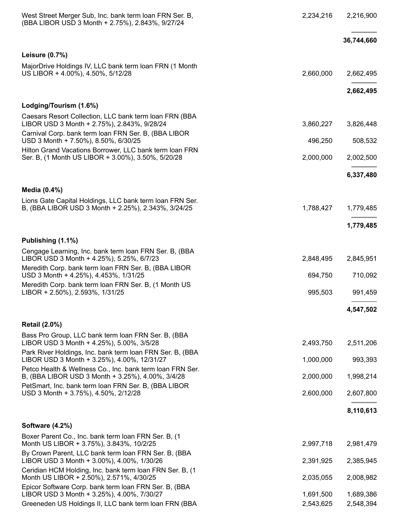| West Street Merger Sub, Inc. bank term Ioan FRN Ser. B,<br>(BBA LIBOR USD 3 Month + 2.75%), 2.843%, 9/27/24     | 2,234,216 | 2,216,900  |
|-----------------------------------------------------------------------------------------------------------------|-----------|------------|
|                                                                                                                 |           | 36,744,660 |
| <b>Leisure (0.7%)</b>                                                                                           |           |            |
| MajorDrive Holdings IV, LLC bank term loan FRN (1 Month<br>US LIBOR + 4.00%), 4.50%, 5/12/28                    | 2,660,000 | 2,662,495  |
|                                                                                                                 |           | 2,662,495  |
| Lodging/Tourism (1.6%)                                                                                          |           |            |
| Caesars Resort Collection, LLC bank term Ioan FRN (BBA<br>LIBOR USD 3 Month + 2.75%), 2.843%, 9/28/24           | 3,860,227 | 3,826,448  |
| Carnival Corp. bank term loan FRN Ser. B, (BBA LIBOR<br>USD 3 Month + 7.50%), 8.50%, 6/30/25                    | 496,250   | 508,532    |
| Hilton Grand Vacations Borrower, LLC bank term Ioan FRN<br>Ser. B, (1 Month US LIBOR + 3.00%), 3.50%, 5/20/28   | 2,000,000 | 2,002,500  |
|                                                                                                                 |           | 6,337,480  |
| Media (0.4%)                                                                                                    |           |            |
| Lions Gate Capital Holdings, LLC bank term loan FRN Ser.<br>B, (BBA LIBOR USD 3 Month + 2.25%), 2.343%, 3/24/25 | 1,788,427 | 1,779,485  |
|                                                                                                                 |           | 1,779,485  |
| Publishing (1.1%)                                                                                               |           |            |
| Cengage Learning, Inc. bank term loan FRN Ser. B, (BBA<br>LIBOR USD 3 Month + 4.25%), 5.25%, 6/7/23             | 2,848,495 | 2,845,951  |
| Meredith Corp. bank term loan FRN Ser. B, (BBA LIBOR<br>USD 3 Month + 4.25%), 4.453%, 1/31/25                   | 694,750   | 710,092    |
| Meredith Corp. bank term loan FRN Ser. B, (1 Month US<br>LIBOR + 2.50%), 2.593%, 1/31/25                        | 995,503   | 991,459    |
|                                                                                                                 |           | 4,547,502  |
| <b>Retail (2.0%)</b>                                                                                            |           |            |
| Bass Pro Group, LLC bank term loan FRN Ser. B, (BBA<br>LIBOR USD 3 Month + 4.25%), 5.00%, 3/5/28                | 2,493,750 | 2,511,206  |
| Park River Holdings, Inc. bank term Ioan FRN Ser. B, (BBA<br>LIBOR USD 3 Month + 3.25%), 4.00%, 12/31/27        | 1,000,000 | 993,393    |
| Petco Health & Wellness Co., Inc. bank term loan FRN Ser.<br>B, (BBA LIBOR USD 3 Month + 3.25%), 4.00%, 3/4/28  | 2,000,000 | 1,998,214  |
| PetSmart, Inc. bank term loan FRN Ser. B, (BBA LIBOR<br>USD 3 Month + 3.75%), 4.50%, 2/12/28                    | 2,600,000 | 2,607,800  |
|                                                                                                                 |           | 8,110,613  |
| Software (4.2%)                                                                                                 |           |            |
| Boxer Parent Co., Inc. bank term loan FRN Ser. B, (1)<br>Month US LIBOR + 3.75%), 3.843%, 10/2/25               | 2,997,718 | 2,981,479  |
| By Crown Parent, LLC bank term loan FRN Ser. B, (BBA<br>LIBOR USD 3 Month + 3.00%), 4.00%, 1/30/26              | 2,391,925 | 2,385,945  |
| Ceridian HCM Holding, Inc. bank term Ioan FRN Ser. B, (1)<br>Month US LIBOR + 2.50%), 2.571%, 4/30/25           | 2,035,055 | 2,008,982  |
| Epicor Software Corp. bank term loan FRN Ser. B, (BBA<br>LIBOR USD 3 Month + 3.25%), 4.00%, 7/30/27             | 1,691,500 | 1,689,386  |
| Greeneden US Holdings II, LLC bank term Ioan FRN (BBA                                                           | 2,543,625 | 2,548,394  |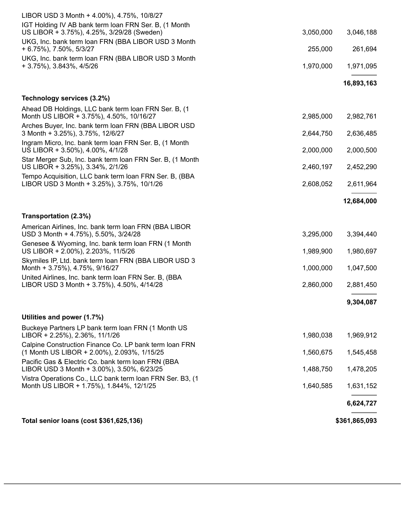| Total senior loans (cost \$361,625,136)                                                                                                                 |           | \$361,865,093 |
|---------------------------------------------------------------------------------------------------------------------------------------------------------|-----------|---------------|
|                                                                                                                                                         |           | 6,624,727     |
| Vistra Operations Co., LLC bank term loan FRN Ser. B3, (1<br>Month US LIBOR + 1.75%), 1.844%, 12/1/25                                                   | 1,640,585 | 1,631,152     |
| Pacific Gas & Electric Co. bank term loan FRN (BBA<br>LIBOR USD 3 Month + 3.00%), 3.50%, 6/23/25                                                        | 1,488,750 | 1,478,205     |
| Calpine Construction Finance Co. LP bank term loan FRN<br>(1 Month US LIBOR + 2.00%), 2.093%, 1/15/25                                                   | 1,560,675 | 1,545,458     |
| Buckeye Partners LP bank term loan FRN (1 Month US<br>LIBOR + 2.25%), 2.36%, 11/1/26                                                                    | 1,980,038 | 1,969,912     |
| Utilities and power (1.7%)                                                                                                                              |           | 9,304,087     |
| LIBOR USD 3 Month + 3.75%), 4.50%, 4/14/28                                                                                                              | 2,860,000 | 2,881,450     |
| Month + 3.75%), 4.75%, 9/16/27<br>United Airlines, Inc. bank term loan FRN Ser. B, (BBA                                                                 |           |               |
| Skymiles IP, Ltd. bank term loan FRN (BBA LIBOR USD 3                                                                                                   | 1,000,000 | 1,047,500     |
| Genesee & Wyoming, Inc. bank term loan FRN (1 Month<br>US LIBOR + 2.00%), 2.203%, 11/5/26                                                               | 1,989,900 | 1,980,697     |
| Transportation (2.3%)<br>American Airlines, Inc. bank term Ioan FRN (BBA LIBOR<br>USD 3 Month + 4.75%), 5.50%, 3/24/28                                  | 3,295,000 | 3,394,440     |
|                                                                                                                                                         |           | 12,684,000    |
| LIBOR USD 3 Month + 3.25%), 3.75%, 10/1/26                                                                                                              | 2,608,052 | 2,611,964     |
| Star Merger Sub, Inc. bank term Ioan FRN Ser. B, (1 Month<br>US LIBOR + 3.25%), 3.34%, 2/1/26<br>Tempo Acquisition, LLC bank term loan FRN Ser. B, (BBA | 2,460,197 | 2,452,290     |
| Ingram Micro, Inc. bank term Ioan FRN Ser. B, (1 Month<br>US LIBOR + 3.50%), 4.00%, 4/1/28                                                              | 2,000,000 | 2,000,500     |
| Arches Buyer, Inc. bank term Ioan FRN (BBA LIBOR USD<br>3 Month + 3.25%), 3.75%, 12/6/27                                                                | 2,644,750 | 2,636,485     |
| Technology services (3.2%)<br>Ahead DB Holdings, LLC bank term loan FRN Ser. B, (1)<br>Month US LIBOR + 3.75%), 4.50%, 10/16/27                         | 2,985,000 | 2,982,761     |
|                                                                                                                                                         |           | 16,893,163    |
| + 3.75%), 3.843%, 4/5/26                                                                                                                                | 1,970,000 | 1,971,095     |
| + 6.75%), 7.50%, 5/3/27<br>UKG, Inc. bank term loan FRN (BBA LIBOR USD 3 Month                                                                          | 255,000   | 261,694       |
| US LIBOR + 3.75%), 4.25%, 3/29/28 (Sweden)<br>UKG, Inc. bank term loan FRN (BBA LIBOR USD 3 Month                                                       | 3,050,000 | 3,046,188     |
| LIBOR USD 3 Month + 4.00%), 4.75%, 10/8/27<br>IGT Holding IV AB bank term loan FRN Ser. B, (1 Month                                                     |           |               |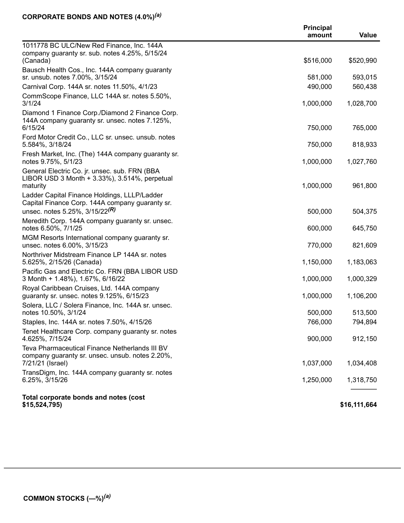#### **CORPORATE BONDS AND NOTES (4.0%)** *(a)*

|                                                                                                                                                 | <b>Principal</b><br>amount | Value        |
|-------------------------------------------------------------------------------------------------------------------------------------------------|----------------------------|--------------|
| 1011778 BC ULC/New Red Finance, Inc. 144A                                                                                                       |                            |              |
| company guaranty sr. sub. notes 4.25%, 5/15/24<br>(Canada)                                                                                      | \$516,000                  | \$520,990    |
| Bausch Health Cos., Inc. 144A company guaranty<br>sr. unsub. notes 7.00%, 3/15/24                                                               | 581,000                    | 593,015      |
| Carnival Corp. 144A sr. notes 11.50%, 4/1/23                                                                                                    | 490,000                    | 560,438      |
| CommScope Finance, LLC 144A sr. notes 5.50%,                                                                                                    |                            |              |
| 3/1/24                                                                                                                                          | 1,000,000                  | 1,028,700    |
| Diamond 1 Finance Corp./Diamond 2 Finance Corp.<br>144A company guaranty sr. unsec. notes 7.125%,<br>6/15/24                                    | 750,000                    | 765,000      |
| Ford Motor Credit Co., LLC sr. unsec. unsub. notes                                                                                              |                            |              |
| 5.584%, 3/18/24                                                                                                                                 | 750,000                    | 818,933      |
| Fresh Market, Inc. (The) 144A company guaranty sr.<br>notes 9.75%, 5/1/23                                                                       | 1,000,000                  | 1,027,760    |
| General Electric Co. jr. unsec. sub. FRN (BBA<br>LIBOR USD 3 Month + 3.33%), 3.514%, perpetual<br>maturity                                      | 1,000,000                  | 961,800      |
| Ladder Capital Finance Holdings, LLLP/Ladder<br>Capital Finance Corp. 144A company guaranty sr.<br>unsec. notes 5.25%, $3/15/22$ <sup>(R)</sup> | 500,000                    | 504,375      |
| Meredith Corp. 144A company guaranty sr. unsec.                                                                                                 |                            |              |
| notes 6.50%, 7/1/25                                                                                                                             | 600,000                    | 645,750      |
| MGM Resorts International company guaranty sr.<br>unsec. notes 6.00%, 3/15/23                                                                   | 770,000                    | 821,609      |
| Northriver Midstream Finance LP 144A sr. notes<br>5.625%, 2/15/26 (Canada)                                                                      | 1,150,000                  | 1,183,063    |
| Pacific Gas and Electric Co. FRN (BBA LIBOR USD<br>3 Month + 1.48%), 1.67%, 6/16/22                                                             | 1,000,000                  | 1,000,329    |
| Royal Caribbean Cruises, Ltd. 144A company<br>guaranty sr. unsec. notes 9.125%, 6/15/23                                                         | 1,000,000                  | 1,106,200    |
| Solera, LLC / Solera Finance, Inc. 144A sr. unsec.<br>notes 10.50%, 3/1/24                                                                      | 500,000                    | 513,500      |
| Staples, Inc. 144A sr. notes 7.50%, 4/15/26                                                                                                     | 766,000                    | 794,894      |
| Tenet Healthcare Corp. company guaranty sr. notes<br>4.625%, 7/15/24                                                                            | 900,000                    | 912,150      |
| Teva Pharmaceutical Finance Netherlands III BV<br>company guaranty sr. unsec. unsub. notes 2.20%,                                               |                            |              |
| 7/21/21 (Israel)                                                                                                                                | 1,037,000                  | 1,034,408    |
| TransDigm, Inc. 144A company guaranty sr. notes<br>6.25%, 3/15/26                                                                               | 1,250,000                  | 1,318,750    |
| Total corporate bonds and notes (cost<br>\$15,524,795                                                                                           |                            | \$16,111,664 |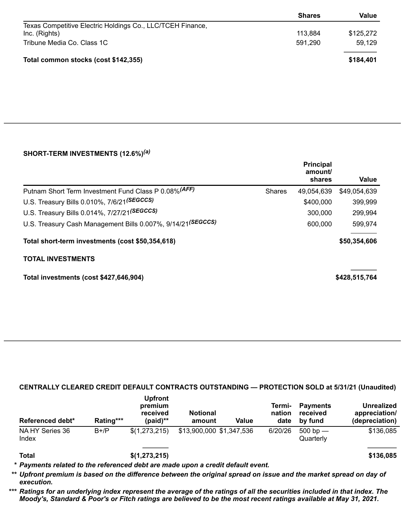|                                                            | <b>Shares</b> | Value     |
|------------------------------------------------------------|---------------|-----------|
| Texas Competitive Electric Holdings Co., LLC/TCEH Finance, |               |           |
| Inc. (Rights)                                              | 113,884       | \$125,272 |
| Tribune Media Co. Class 1C                                 | 591,290       | 59,129    |
| Total common stocks (cost \$142,355)                       |               | \$184,401 |

### **SHORT-TERM INVESTMENTS (12.6%)** *(a)*

|                                                             |               | <b>Principal</b><br>amount/<br>shares | Value         |
|-------------------------------------------------------------|---------------|---------------------------------------|---------------|
| Putnam Short Term Investment Fund Class P 0.08% (AFF)       | <b>Shares</b> | 49,054,639                            | \$49,054,639  |
| U.S. Treasury Bills 0.010%, 7/6/21(SEGCCS)                  |               | \$400,000                             | 399,999       |
| U.S. Treasury Bills 0.014%, 7/27/21(SEGCCS)                 |               | 300,000                               | 299,994       |
| U.S. Treasury Cash Management Bills 0.007%, 9/14/21(SEGCCS) |               | 600,000                               | 599,974       |
| Total short-term investments (cost \$50,354,618)            |               |                                       | \$50,354,606  |
| <b>TOTAL INVESTMENTS</b>                                    |               |                                       |               |
| Total investments (cost \$427,646,904)                      |               |                                       | \$428,515,764 |

## **CENTRALLY CLEARED CREDIT DEFAULT CONTRACTS OUTSTANDING — PROTECTION SOLD at 5/31/21 (Unaudited)**

| Referenced debt*         | Rating*** | <b>Upfront</b><br>premium<br>received<br>$(paid)$ ** | <b>Notional</b><br>amount | Value | Termi-<br>nation<br>date | <b>Payments</b><br>received<br>by fund | <b>Unrealized</b><br>appreciation/<br>(depreciation) |
|--------------------------|-----------|------------------------------------------------------|---------------------------|-------|--------------------------|----------------------------------------|------------------------------------------------------|
| NA HY Series 36<br>Index | $B+/P$    | \$(1,273,215)                                        | \$13,900,000 \$1,347,536  |       | 6/20/26                  | $500$ bp $-$<br>Quarterly              | \$136,085                                            |
|                          |           |                                                      |                           |       |                          |                                        |                                                      |

**Total \$(1,273,215) \$136,085**

*\* Payments related to the referenced debt are made upon a credit default event.*

\*\* Upfront premium is based on the difference between the original spread on issue and the market spread on day of *execution.*

\*\*\* Ratings for an underlying index represent the average of the ratings of all the securities included in that index. The Moody's, Standard & Poor's or Fitch ratings are believed to be the most recent ratings available at May 31, 2021.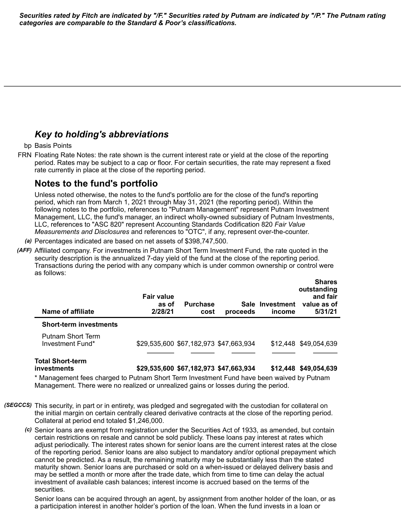Securities rated by Fitch are indicated by "/F." Securities rated by Putnam are indicated by "/P." The Putnam rating *categories are comparable to the Standard & Poor's classifications.*

## *Key to holding's abbreviations*

#### bp Basis Points

FRN Floating Rate Notes: the rate shown is the current interest rate or yield at the close of the reporting period. Rates may be subject to a cap or floor. For certain securities, the rate may represent a fixed rate currently in place at the close of the reporting period.

## **Notes to the fund's portfolio**

Unless noted otherwise, the notes to the fund's portfolio are for the close of the fund's reporting period, which ran from March 1, 2021 through May 31, 2021 (the reporting period). Within the following notes to the portfolio, references to "Putnam Management" represent Putnam Investment Management, LLC, the fund's manager, an indirect wholly-owned subsidiary of Putnam Investments, LLC, references to "ASC 820" represent Accounting Standards Codification 820 *Fair Value Measurements and Disclosures* and references to "OTC", if any, represent over-the-counter.

- *(a)* Percentages indicated are based on net assets of \$398,747,500.
- *(AFF)* Affiliated company. For investments in Putnam Short Term Investment Fund, the rate quoted in the security description is the annualized 7-day yield of the fund at the close of the reporting period. Transactions during the period with any company which is under common ownership or control were as follows:

| Name of affiliate                     | <b>Fair value</b><br>as of<br>2/28/21  | <b>Purchase</b><br>cost | proceeds | Sale Investment<br>income | <b>Shares</b><br>outstanding<br>and fair<br>value as of<br>5/31/21 |
|---------------------------------------|----------------------------------------|-------------------------|----------|---------------------------|--------------------------------------------------------------------|
| <b>Short-term investments</b>         |                                        |                         |          |                           |                                                                    |
| Putnam Short Term<br>Investment Fund* | \$29,535,600 \$67,182,973 \$47,663,934 |                         |          |                           | \$12,448 \$49,054,639                                              |

## **Total Short-term**

**investments \$29,535,600 \$67,182,973 \$47,663,934 \$12,448 \$49,054,639**

\* Management fees charged to Putnam Short Term Investment Fund have been waived by Putnam Management. There were no realized or unrealized gains or losses during the period.

- *(SEGCCS)* This security, in part or in entirety, was pledged and segregated with the custodian for collateral on the initial margin on certain centrally cleared derivative contracts at the close of the reporting period. Collateral at period end totaled \$1,246,000.
	- *(c)* Senior loans are exempt from registration under the Securities Act of 1933, as amended, but contain certain restrictions on resale and cannot be sold publicly. These loans pay interest at rates which adjust periodically. The interest rates shown for senior loans are the current interest rates at the close of the reporting period. Senior loans are also subject to mandatory and/or optional prepayment which cannot be predicted. As a result, the remaining maturity may be substantially less than the stated maturity shown. Senior loans are purchased or sold on a when-issued or delayed delivery basis and may be settled a month or more after the trade date, which from time to time can delay the actual investment of available cash balances; interest income is accrued based on the terms of the securities.

Senior loans can be acquired through an agent, by assignment from another holder of the loan, or as a participation interest in another holder's portion of the loan. When the fund invests in a loan or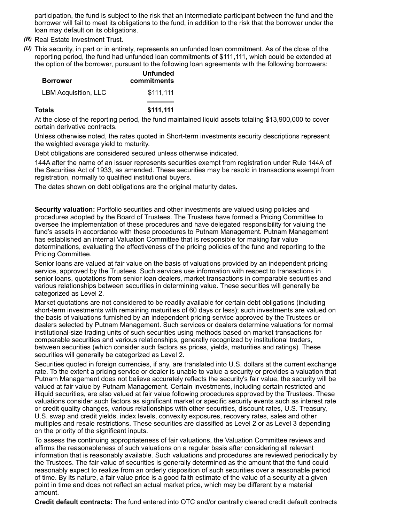participation, the fund is subject to the risk that an intermediate participant between the fund and the borrower will fail to meet its obligations to the fund, in addition to the risk that the borrower under the loan may default on its obligations.

- *(R)* Real Estate Investment Trust.
- *(U)* This security, in part or in entirety, represents an unfunded loan commitment. As of the close of the reporting period, the fund had unfunded loan commitments of \$111,111, which could be extended at the option of the borrower, pursuant to the following loan agreements with the following borrowers:

| <b>Borrower</b>             | <b>Unfunded</b><br>commitments |
|-----------------------------|--------------------------------|
| <b>LBM Acquisition, LLC</b> | \$111.111                      |
| Totals                      | \$111.111                      |

At the close of the reporting period, the fund maintained liquid assets totaling \$13,900,000 to cover certain derivative contracts.

Unless otherwise noted, the rates quoted in Short-term investments security descriptions represent the weighted average yield to maturity.

Debt obligations are considered secured unless otherwise indicated.

144A after the name of an issuer represents securities exempt from registration under Rule 144A of the Securities Act of 1933, as amended. These securities may be resold in transactions exempt from registration, normally to qualified institutional buyers.

The dates shown on debt obligations are the original maturity dates.

**Security valuation:** Portfolio securities and other investments are valued using policies and procedures adopted by the Board of Trustees. The Trustees have formed a Pricing Committee to oversee the implementation of these procedures and have delegated responsibility for valuing the fund's assets in accordance with these procedures to Putnam Management. Putnam Management has established an internal Valuation Committee that is responsible for making fair value determinations, evaluating the effectiveness of the pricing policies of the fund and reporting to the Pricing Committee.

Senior loans are valued at fair value on the basis of valuations provided by an independent pricing service, approved by the Trustees. Such services use information with respect to transactions in senior loans, quotations from senior loan dealers, market transactions in comparable securities and various relationships between securities in determining value. These securities will generally be categorized as Level 2.

Market quotations are not considered to be readily available for certain debt obligations (including short-term investments with remaining maturities of 60 days or less); such investments are valued on the basis of valuations furnished by an independent pricing service approved by the Trustees or dealers selected by Putnam Management. Such services or dealers determine valuations for normal institutional-size trading units of such securities using methods based on market transactions for comparable securities and various relationships, generally recognized by institutional traders, between securities (which consider such factors as prices, yields, maturities and ratings). These securities will generally be categorized as Level 2.

Securities quoted in foreign currencies, if any, are translated into U.S. dollars at the current exchange rate. To the extent a pricing service or dealer is unable to value a security or provides a valuation that Putnam Management does not believe accurately reflects the security's fair value, the security will be valued at fair value by Putnam Management. Certain investments, including certain restricted and illiquid securities, are also valued at fair value following procedures approved by the Trustees. These valuations consider such factors as significant market or specific security events such as interest rate or credit quality changes, various relationships with other securities, discount rates, U.S. Treasury, U.S. swap and credit yields, index levels, convexity exposures, recovery rates, sales and other multiples and resale restrictions. These securities are classified as Level 2 or as Level 3 depending on the priority of the significant inputs.

To assess the continuing appropriateness of fair valuations, the Valuation Committee reviews and affirms the reasonableness of such valuations on a regular basis after considering all relevant information that is reasonably available. Such valuations and procedures are reviewed periodically by the Trustees. The fair value of securities is generally determined as the amount that the fund could reasonably expect to realize from an orderly disposition of such securities over a reasonable period of time. By its nature, a fair value price is a good faith estimate of the value of a security at a given point in time and does not reflect an actual market price, which may be different by a material amount.

**Credit default contracts:** The fund entered into OTC and/or centrally cleared credit default contracts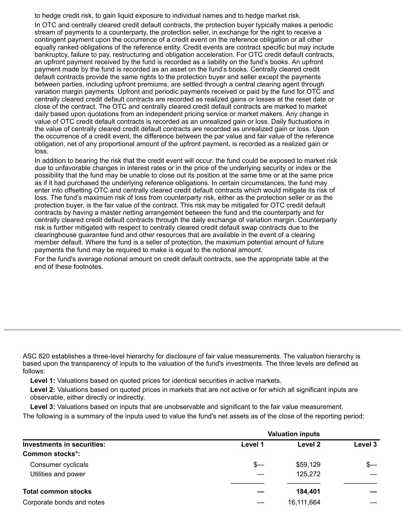to hedge credit risk, to gain liquid exposure to individual names and to hedge market risk.

In OTC and centrally cleared credit default contracts, the protection buyer typically makes a periodic stream of payments to a counterparty, the protection seller, in exchange for the right to receive a contingent payment upon the occurrence of a credit event on the reference obligation or all other equally ranked obligations of the reference entity. Credit events are contract specific but may include bankruptcy, failure to pay, restructuring and obligation acceleration. For OTC credit default contracts, an upfront payment received by the fund is recorded as a liability on the fund's books. An upfront payment made by the fund is recorded as an asset on the fund's books. Centrally cleared credit default contracts provide the same rights to the protection buyer and seller except the payments between parties, including upfront premiums, are settled through a central clearing agent through variation margin payments. Upfront and periodic payments received or paid by the fund for OTC and centrally cleared credit default contracts are recorded as realized gains or losses at the reset date or close of the contract. The OTC and centrally cleared credit default contracts are marked to market daily based upon quotations from an independent pricing service or market makers. Any change in value of OTC credit default contracts is recorded as an unrealized gain or loss. Daily fluctuations in the value of centrally cleared credit default contracts are recorded as unrealized gain or loss. Upon the occurrence of a credit event, the difference between the par value and fair value of the reference obligation, net of any proportional amount of the upfront payment, is recorded as a realized gain or loss.

In addition to bearing the risk that the credit event will occur, the fund could be exposed to market risk due to unfavorable changes in interest rates or in the price of the underlying security or index or the possibility that the fund may be unable to close out its position at the same time or at the same price as if it had purchased the underlying reference obligations. In certain circumstances, the fund may enter into offsetting OTC and centrally cleared credit default contracts which would mitigate its risk of loss. The fund's maximum risk of loss from counterparty risk, either as the protection seller or as the protection buyer, is the fair value of the contract. This risk may be mitigated for OTC credit default contracts by having a master netting arrangement between the fund and the counterparty and for centrally cleared credit default contracts through the daily exchange of variation margin. Counterparty risk is further mitigated with respect to centrally cleared credit default swap contracts due to the clearinghouse guarantee fund and other resources that are available in the event of a clearing member default. Where the fund is a seller of protection, the maximum potential amount of future payments the fund may be required to make is equal to the notional amount.

For the fund's average notional amount on credit default contracts, see the appropriate table at the end of these footnotes.

ASC 820 establishes a three-level hierarchy for disclosure of fair value measurements. The valuation hierarchy is based upon the transparency of inputs to the valuation of the fund's investments. The three levels are defined as follows:

**Level 1:** Valuations based on quoted prices for identical securities in active markets.

**Level 2:** Valuations based on quoted prices in markets that are not active or for which all significant inputs are observable, either directly or indirectly.

**Level 3:** Valuations based on inputs that are unobservable and significant to the fair value measurement.

The following is a summary of the inputs used to value the fund's net assets as of the close of the reporting period:

|                                                      | <b>Valuation inputs</b> |                     |         |  |
|------------------------------------------------------|-------------------------|---------------------|---------|--|
| Investments in securities:<br><b>Common stocks*:</b> | Level 1                 | Level 2             | Level 3 |  |
| Consumer cyclicals<br>Utilities and power            | \$—                     | \$59,129<br>125,272 | $s-$    |  |
| <b>Total common stocks</b>                           |                         | 184,401             |         |  |
| Corporate bonds and notes                            |                         | 16,111,664          |         |  |